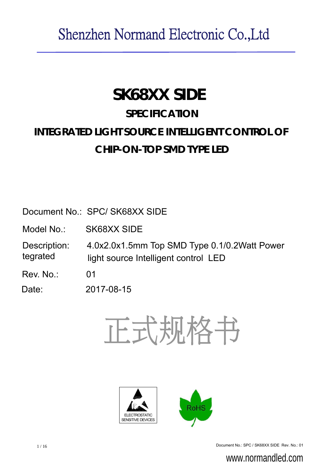# **SK68XX SIDE**

# **SPECIFICATION**

# **INTEGRATED LIGHT SOURCE INTELLIGENT CONTROL OF CHIP-ON-TOP SMD TYPE LED**

Document No.: SPC/ SK68XX SIDE

Model No. SK68XX SIDE

Description: 4.0x2.0x1.5mm Top SMD Type 0.1/0.2Watt Power tegrated light source Intelligent control LED

Rev. No. 01

Date: 2017-08-15







1/16 Document No.: SPC / SK68XX SIDE Rev. No.: 01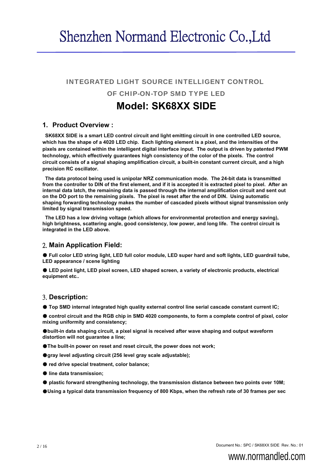### INTEGRATED LIGHT SOURCE INTELLIGENT CONTROL

### OF CHIP-ON-TOP SMD TYPE LED

## **Model: SK68XX SIDE**

### **1. Product Overview :**

**SK68XX SIDE is a smart LED control circuit and light emitting circuit in one controlled LED source, which has the shape of a 4020 LED chip. Each lighting element is a pixel, and the intensities of the pixels are contained within the intelligent digital interface input. The output is driven by patented PWM technology, which effectively guarantees high consistency of the color of the pixels. The control circuit consists of a signal shaping amplification circuit, a built-in constant current circuit, and a high precision RC oscillator.**

**The data protocol being used is unipolar NRZ communication mode. The 24-bit data is transmitted from the controller to DIN of the first element, and if it is accepted it is extracted pixel to pixel. After an internal data latch, the remaining data is passed through the internal amplification circuit and sent out on the DO port to the remaining pixels. The pixel is reset after the end of DIN. Using automatic shaping forwarding technology makes the number of cascaded pixels without signal transmission only limited by signal transmission speed.**

**The LED has a low driving voltage (which allows for environmental protection and energy saving), high brightness, scattering angle, good consistency, low power, and long life. The control circuit is integrated in the LED above.**

### 2. **Main Application Field:**

● **Full color LED string light, LED full color module, LED super hard and soft lights, LED guardrail tube, LED appearance / scene lighting**

● **LED point light, LED pixel screen, LED shaped screen, a variety of electronic products, electrical equipment etc..**

### 3. **Description:**

● **Top SMD internal integrated high quality external control line serial cascade constant current IC;**

● control circuit and the RGB chip in SMD 4020 components, to form a complete control of pixel, color **mixing uniformity and consistency;**

●**built-in data shaping circuit, a pixel signal is received after wave shaping and output waveform distortion will not guarantee a line;**

- ●**The built-in power on reset and reset circuit, the power does not work;**
- ●**gray level adjusting circuit (256 level gray scale adjustable);**
- **red drive special treatment, color balance;**
- **line data transmission;**
- **plastic forward strengthening technology, the transmission distance between two points over 10M;**

●**Using a typical data transmission frequency of 800 Kbps, when the refresh rate of 30 frames per sec**

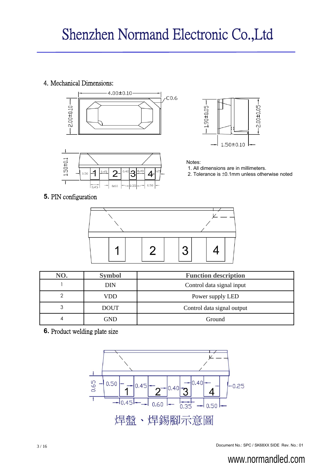### 4. Mechanical Dimensions:







Notes:

- 1. All dimensions are in millimeters.
- 2. Tolerance is ±0.1mm unless otherwise noted

### **5.** PIN configuration



| NO. | <b>Symbol</b> | <b>Function description</b> |  |  |
|-----|---------------|-----------------------------|--|--|
|     | <b>DIN</b>    | Control data signal input   |  |  |
|     | VDD           | Power supply LED            |  |  |
| 3   | <b>DOUT</b>   | Control data signal output  |  |  |
|     | GND           | Ground                      |  |  |

**6.** Product welding plate size



#### Document No.: SPC / SK68XX SIDE Rev. No.: 01 3 / 16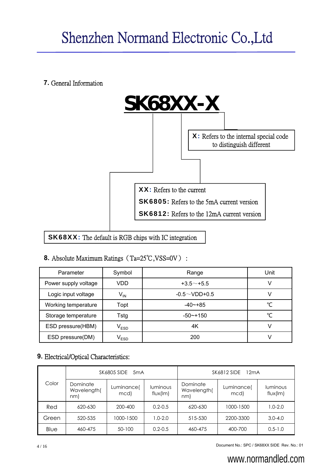**7.** General Information



## SK68XX: The default is RGB chips with IC integration

### **8.** Absolute Maximum Ratings (Ta=25℃,VSS=0V) :

| Parameter            | Symbol                      | Range               | Unit |
|----------------------|-----------------------------|---------------------|------|
| Power supply voltage | <b>VDD</b>                  | $+3.5$ $-$ +5.5     | ν    |
| Logic input voltage  | $V_{IN}$                    | $-0.5 \sim$ VDD+0.5 | V    |
| Working temperature  | Topt                        | $-40$ $-+85$        | ℃    |
| Storage temperature  | Tstg                        | $-50$ $-$ +150      | °C   |
| ESD pressure(HBM)    | $\mathsf{V}_{\mathsf{ESD}}$ | 4K                  | V    |
| ESD pressure(DM)     | $\mathsf{V}_{\mathsf{ESD}}$ | 200                 | V    |

## **9.** Electrical/Optical Characteristics:

|       |                                | SK6805 SIDE<br>5 <sub>m</sub> A |                      | <b>SK6812 SIDE</b><br>12mA     |                    |                             |  |
|-------|--------------------------------|---------------------------------|----------------------|--------------------------------|--------------------|-----------------------------|--|
| Color | Dominate<br>Wavelength(<br>nm) | Luminance(<br>mcd)              | luminous<br>flux(lm) | Dominate<br>Wavelength(<br>nml | Luminance(<br>mcd) | <b>luminous</b><br>flux(lm) |  |
| Red   | 620-630                        | 200-400                         | $0.2 - 0.5$          | 620-630                        | 1000-1500          | $1.0 - 2.0$                 |  |
| Green | 520-535                        | 1000-1500                       | $1.0 - 2.0$          | 515-530                        | 2200-3300          | $3.0 - 4.0$                 |  |
| Blue  | 460-475                        | 50-100                          | $0.2 - 0.5$          | 460-475                        | 400-700            | $0.5 - 1.0$                 |  |

Account No.: SPC / SK68XX SIDE Rev. No.: 01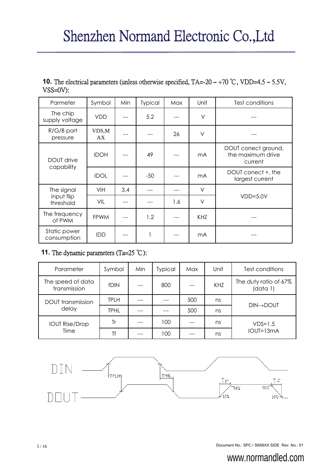| <b>10.</b> The electrical parameters (unless otherwise specified, $TA = -20 \sim +70$ °C, VDD=4.5 $\sim$ 5.5V, |  |
|----------------------------------------------------------------------------------------------------------------|--|
| $VSS=0V$ :                                                                                                     |  |

| Parmeter                    | Symbol      | Min | Typical | Max | Unit           | Test conditions                                     |
|-----------------------------|-------------|-----|---------|-----|----------------|-----------------------------------------------------|
| The chip<br>supply voltage  | <b>VDD</b>  |     | 5.2     |     | $\vee$         |                                                     |
| $R/G/B$ port<br>pressure    | VDS,M<br>AX |     |         | 26  | $\vee$         |                                                     |
| <b>DOUT drive</b>           | <b>IDOH</b> |     | 49      |     | m <sub>A</sub> | DOUT conect ground,<br>the maximum drive<br>current |
| capability                  | <b>IDOL</b> |     | $-50$   |     | m <sub>A</sub> | DOUT conect +, the<br>largest current               |
| The signal                  | VIH         | 3.4 |         |     | $\vee$         |                                                     |
| input flip<br>threshold     | VIL         |     |         | 1.6 | $\vee$         | $VDD=5.0V$                                          |
| The frequency<br>of PWM     | <b>FPWM</b> |     | 1.2     |     | KHZ            |                                                     |
| Static power<br>consumption | <b>IDD</b>  |     | 1       |     | m <sub>A</sub> |                                                     |

### **11.** The dynamic parameters (Ta=25 ℃):

| Parameter                         | Symbol      | Min | Typical | Max | Unit | Test conditions                   |
|-----------------------------------|-------------|-----|---------|-----|------|-----------------------------------|
| The speed of data<br>transmission | <b>fDIN</b> |     | 800     |     | KHZ  | The duty ratio of 67%<br>(data 1) |
| <b>DOUT</b> transmission          | <b>TPLH</b> |     |         | 500 | ns   | <b>DIN→DOUT</b>                   |
| delay                             | <b>TPHL</b> |     |         | 500 | ns   |                                   |
| <b>IOUT Rise/Drop</b>             | Tr          |     | 100     |     | ns   | $VDS=1.5$                         |
| Time                              | Τf          |     | 100     |     | ns   | IOUT=13mA                         |



Document No.: SPC / SK68XX SIDE Rev. No.: 01 5 / 16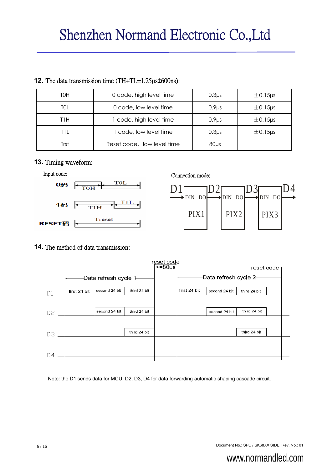| TOH  | 0 code, high level time    | 0.3 <sub>µs</sub> | $\pm$ 0.15 $\mu$ s |
|------|----------------------------|-------------------|--------------------|
| TOL  | 0 code, low level time     | 0.9 <sub>µs</sub> | $\pm$ 0.15 $\mu$ s |
| T1H  | 1 code, high level time    | $0.9\mu s$        | $\pm$ 0.15 $\mu$ s |
| TIL  | 1 code, low level time     | 0.3 <sub>µs</sub> | $\pm$ 0.15 $\mu$ s |
| Trst | Reset code, low level time | 80 <sub>µs</sub>  |                    |

### **12.** The data transmission time (TH+TL=1.25µs±600ns):

### **13.** Timing waveform:



### **14.** The method of data transmission:

|    |                        |               |              | reset code<br>$>=80us$ |                        |               | reset code   |  |
|----|------------------------|---------------|--------------|------------------------|------------------------|---------------|--------------|--|
|    | -Data refresh cycle 1- |               |              |                        | -Data refresh cycle 2- |               |              |  |
| D1 | first 24 bit           | second 24 blt | third 24 bit |                        | first 24 bit           | second 24 blt | third 24 bit |  |
|    |                        |               |              |                        |                        |               |              |  |
| D2 |                        | second 24 blt | third 24 bit |                        |                        | second 24 blt | third 24 bit |  |
|    |                        |               |              |                        |                        |               |              |  |
| DЗ |                        |               | third 24 bit |                        |                        |               | third 24 bit |  |
|    |                        |               |              |                        |                        |               |              |  |
| D4 |                        |               |              |                        |                        |               |              |  |

Note: the D1 sends data for MCU, D2, D3, D4 for data forwarding automatic shaping cascade circuit.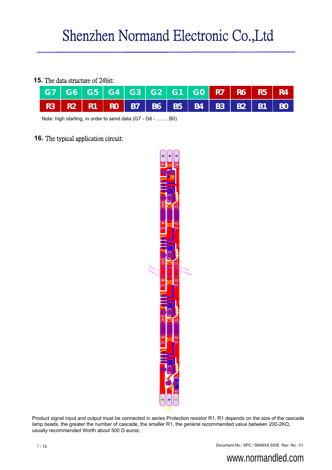### **15.** The data structure of 24bit:

| G7   G6   G5   G4   G3   G2   G1   G0 <mark>  R7   R6   R5   R4  </mark> |  |  |  |  |  |
|--------------------------------------------------------------------------|--|--|--|--|--|
| R3   R2   R1   R0   B7   B6   B5   B4   B3   B2   B1   B0                |  |  |  |  |  |

Note: high starting, in order to send data (G7 - G6 - ...... ..B0)

### **16.** The typical application circuit:



Product signal input and output must be connected in series Protection resistor R1, R1 depends on the size of the cascade lamp beads, the greater the number of cascade, the smaller R1, the general recommended value between 200-2KΩ, usually recommended Worth about 500 Ω euros;

Document No.: SPC / SK68XX SIDE Rev. No.: 01 7 / 16

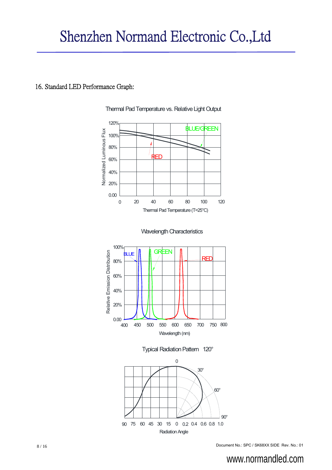### 16. Standard LED Performance Graph:



Thermal Pad Temperature vs. Relative Light Output









8 / 16 Document No.: SPC / SK68XX SIDE Rev. No.: 01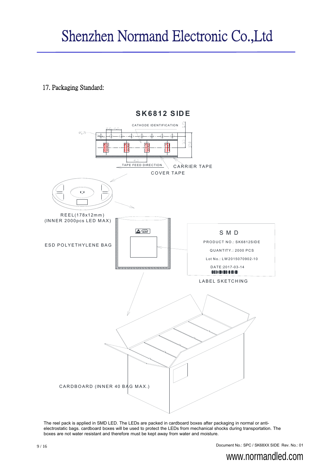### 17. Packaging Standard:



The reel pack is applied in SMD LED. The LEDs are packed in cardboard boxes after packaging in normal or antielectrostatic bags. cardboard boxes will be used to protect the LEDs from mechanical shocks during transportation. The boxes are not water resistant and therefore must be kept away from water and moisture.

Document No.: SPC / SK68XX SIDE Rev. No.: 01 9 / 16

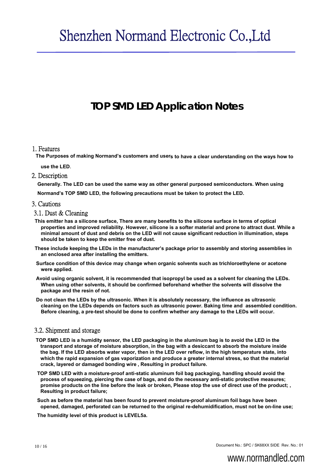# **TOP SMD LED Application Notes**

### 1. Features

The Purposes of making Normand's customers and user<sub>s</sub> to have a clear understanding on the ways how to

**use the LED**.

### 2. Description

**Generally. The LED can be used the same way as other general purposed semiconductors. When using Normand's TOP SMD LED, the following precautions must be taken to protect the LED.**

#### 3. Cautions

#### 3.1. Dust & Cleaning

- **This emitter has a silicone surface, There are many benefits to the silicone surface in terms of optical properties and improved reliability. However, silicone is a softer material and prone to attract dust. While a minimal amount of dust and debris on the LED will not cause significant reduction in illumination, steps should be taken to keep the emitter free of dust.**
- **These include keeping the LEDs in the manufacturer's package prior to assembly and storing assemblies in an enclosed area after installing the emitters.**
- **Surface condition of this device may change when organic solvents such as trichloroethylene or acetone were applied.**
- **Avoid using organic solvent, it is recommended that isopropyl be used as a solvent for cleaning the LEDs. When using other solvents, it should be confirmed beforehand whether the solvents will dissolve the package and the resin of not.**
- **Do not clean the LEDs by the ultrasonic. When it is absolutely necessary, the influence as ultrasonic cleaning on the LEDs depends on factors such as ultrasonic power. Baking time and assembled condition. Before cleaning, a pre-test should be done to confirm whether any damage to the LEDs will occur.**

### 3.2. Shipment and storage

- **TOP SMD LED is a humidity sensor, the LED packaging in the aluminum bag is to avoid the LED in the transport and storage of moisture absorption, in the bag with a desiccant to absorb the moisture inside the bag. If the LED absorbs water vapor, then in the LED over reflow, in the high temperature state, into which the rapid expansion of gas vaporization and produce a greater internal stress, so that the material crack, layered or damaged bonding wire , Resulting in product failure.**
- **TOP SMD LED with a moisture-proof anti-static aluminum foil bag packaging, handling should avoid the process of squeezing, piercing the case of bags, and do the necessary anti-static protective measures; promise products on the line before the leak or broken, Please stop the use of direct use of the product; , Resulting in product failure;**
- **Such as before the material has been found to prevent moisture-proof aluminum foil bags have been opened, damaged, perforated can be returned to the original re-dehumidification, must not be on-line use;**

**The humidity level of this product is LEVEL5a.**

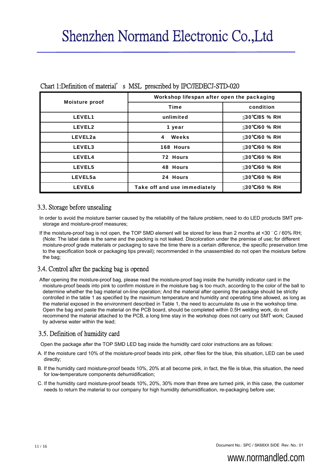|                       | Workshop lifespan after open the packaging |               |  |  |
|-----------------------|--------------------------------------------|---------------|--|--|
| <b>Moisture proof</b> | <b>Time</b>                                | condition     |  |  |
| <b>LEVEL1</b>         | unlimited                                  | ≤30°C/85 % RH |  |  |
| <b>LEVEL2</b>         | 1 year                                     | ≤30°C/60 % RH |  |  |
| LEVEL2a               | Weeks<br>$\overline{\mathbf{4}}$           | ≤30°C/60 % RH |  |  |
| LEVEL3                | 168 Hours                                  | ≤30°C/60 % RH |  |  |
| <b>LEVEL4</b>         | 72 Hours                                   | ≤30°C/60 % RH |  |  |
| <b>LEVEL5</b>         | 48 Hours                                   | ≤30°C/60 % RH |  |  |
| LEVEL5a               | 24 Hours                                   | ≤30°C/60 % RH |  |  |
| <b>LEVEL6</b>         | Take off and use immediately               | ≤30℃/60 % RH  |  |  |

### Chart 1:Definition of material's MSL prescribed by IPC/JEDECJ-STD-020

### 3.3. Storage before unsealing

In order to avoid the moisture barrier caused by the reliability of the failure problem, need to do LED products SMT prestorage and moisture-proof measures;

If the moisture-proof bag is not open, the TOP SMD element will be stored for less than 2 months at <30 ° C / 60% RH; (Note: The label date is the same and the packing is not leaked. Discoloration under the premise of use; for different moisture-proof grade materials or packaging to save the time there is a certain difference, the specific preservation time to the specification book or packaging tips prevail); recommended in the unassembled do not open the moisture before the bag;

### 3.4. Control after the packing bag is opened

After opening the moisture-proof bag, please read the moisture-proof bag inside the humidity indicator card in the moisture-proof beads into pink to confirm moisture in the moisture bag is too much, according to the color of the ball to determine whether the bag material on-line operation; And the material after opening the package should be strictly controlled in the table 1 as specified by the maximum temperature and humidity and operating time allowed, as long as the material exposed in the environment described in Table 1, the need to accumulate its use in the workshop time. Open the bag and paste the material on the PCB board, should be completed within 0.5H welding work, do not recommend the material attached to the PCB, a long time stay in the workshop does not carry out SMT work; Caused by adverse water within the lead;

### 3.5. Definition of humidity card

Open the package after the TOP SMD LED bag inside the humidity card color instructions are as follows:

- A. If the moisture card 10% of the moisture-proof beads into pink, other files for the blue, this situation, LED can be used directly;
- B. If the humidity card moisture-proof beads 10%, 20% at all become pink, in fact, the file is blue, this situation, the need for low-temperature components dehumidification;
- C. If the humidity card moisture-proof beads 10%, 20%, 30% more than three are turned pink, in this case, the customer needs to return the material to our company for high humidity dehumidification, re-packaging before use;

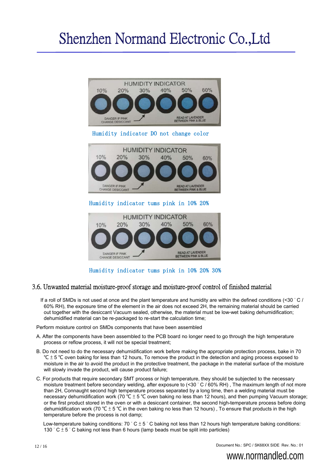

Humidity indicator tums pink in 10% 20% 30%

### 3.6. Unwanted material moisture-proof storage and moisture-proof control of finished material

If a roll of SMDs is not used at once and the plant temperature and humidity are within the defined conditions (<30 ° C / 60% RH), the exposure time of the element in the air does not exceed 2H, the remaining material should be carried out together with the desiccant Vacuum sealed, otherwise, the material must be low-wet baking dehumidification; dehumidified material can be re-packaged to re-start the calculation time;

Perform moisture control on SMDs components that have been assembled

- A. After the components have been assembled to the PCB board no longer need to go through the high temperature process or reflow process, it will not be special treatment;
- B. Do not need to do the necessary dehumidification work before making the appropriate protection process, bake in 70 ° $C \pm 5$  °C oven baking for less than 12 hours, To remove the product in the detection and aging process exposed to moisture in the air to avoid the product in the protective treatment, the package in the material surface of the moisture will slowly invade the product, will cause product failure;
- C. For products that require secondary SMT process or high temperature, they should be subjected to the necessary moisture treatment before secondary welding, after exposure to (<30 ° C / 60% RH), The maximum length of not more than 2H, Connaught second high temperature process separated by a long time, then a welding material must be necessary dehumidification work (70 ℃ ± 5 ℃ oven baking no less than 12 hours), and then pumping Vacuum storage; or the first product stored in the oven or with a desiccant container, the second high-temperature process before doing dehumidification work (70 °C  $\pm$  5 °C in the oven baking no less than 12 hours), To ensure that products in the high temperature before the process is not damp;

Low-temperature baking conditions:  $70\degree C \pm 5\degree C$  baking not less than 12 hours high temperature baking conditions: 130  $^{\circ}$  C  $\pm$  5  $^{\circ}$  C baking not less than 6 hours (lamp beads must be split into particles)

Document No.: SPC / SK68XX SIDE Rev. No.: 01

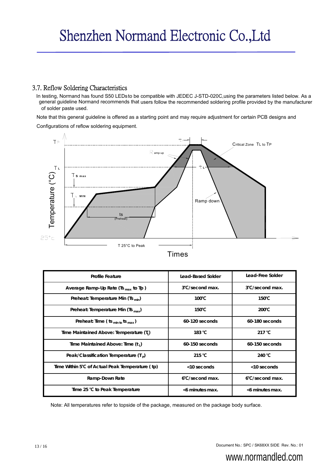### 3.7. Reflow Soldering Characteristics

In testing, Normand has found S50 LEDsto be compatible with JEDEC J-STD-020C,using the parameters listed below. As a general guideline Normand recommends that users follow the recommended soldering profile provided by the manufacturer of solder paste used.

Note that this general guideline is offered as a starting point and may require adjustment for certain PCB designs and

Configurations of reflow soldering equipment.



|  | ım | c |
|--|----|---|

| <b>Profile Feature</b>                                       | Lead-Based Solder         | Lead-Free Solder          |
|--------------------------------------------------------------|---------------------------|---------------------------|
| Average Ramp-Up Rate (Ts $_{\text{max}}$ to Tp)              | 3°C/second max.           | 3°C/second max.           |
| Preheat: Temperature Min (Ts $_{\text{min}}$ )               | $100^{\circ}$ C           | $150^{\circ}$ C           |
| Preheat: Temperature Min (Ts $_{\text{max}}$ )               | $150^{\circ}$ C           | $200^{\circ}C$            |
| Preheat: Time (ts $_{min to}$ ts $_{max}$ )                  | 60-120 seconds            | 60-180 seconds            |
| Time Maintained Above: Temperature (T <sub>1</sub> )         | 183 °C                    | 217 °C                    |
| Time Maintained Above: Time (t,)                             | $60-150$ seconds          | 60-150 seconds            |
| Peak/Classification Temperature $(Tp)$                       | 215 $°C$                  | 240 °C                    |
| Time Within 5 <sup>°</sup> C of Actual Peak Temperature (tp) | <10 seconds               | <10 seconds               |
| Ramp-Down Rate                                               | $6^{\circ}$ C/second max. | $6^{\circ}$ C/second max. |
| Time 25 $°C$ to Peak Temperature                             | <6 minutes max.           | <6 minutes max.           |

Note: All temperatures refer to topside of the package, measured on the package body surface.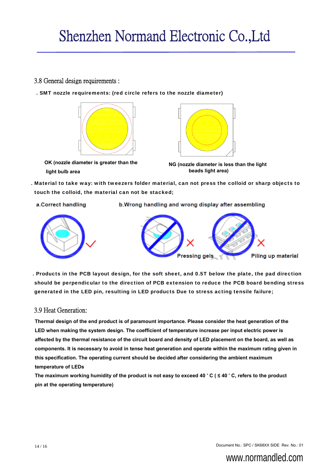### 3.8 General design requirements :

. SMT nozzle requirements: (red circle refers to the nozzle diameter)



**OK (nozzle diameter is greater than the light bulb area**



**NG (nozzle diameter is less than the light beads light area)**

. Material to take way: with tweezers folder material, can not press the colloid or sharp objects to touch the colloid, the material can not be stacked;

a.Correct handling

b. Wrong handling and wrong display after assembling





. Products in the PCB layout design, for the soft sheet, and 0.5T below the plate, the pad direction should be perpendicular to the direction of PCB extension to reduce the PCB board bending stress generated in the LED pin, resulting in LED products Due to stress acting tensile failure;

### 3.9 Heat Generation:

**Thermal design of the end product is of paramount importance. Please consider the heat generation of the LED when making the system design. The coefficient of temperature increase per input electric power is affected by the thermal resistance of the circuit board and density of LED placement on the board, as well as components. It is necessary to avoid in tense heat generation and operate within the maximum rating given in this specification. The operating current should be decided after considering the ambient maximum temperature of LEDs** 

**The maximum working humidity of the product is not easy to exceed 40** ° **C ( ≤ 40** ° **C, refers to the product pin at the operating temperature)** 

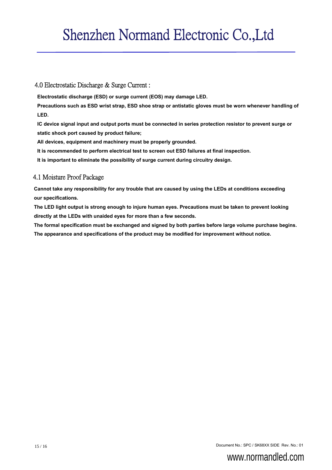### 4.0 Electrostatic Discharge & Surge Current :

**Electrostatic discharge (ESD) or surge current (EOS) may damage LED.**

**Precautions such as ESD wrist strap, ESD shoe strap or antistatic gloves must be worn whenever handling of LED.**

**IC device signal input and output ports must be connected in series protection resistor to prevent surge or static shock port caused by product failure;** 

**All devices, equipment and machinery must be properly grounded.**

**It is recommended to perform electrical test to screen out ESD failures at final inspection.**

**It is important to eliminate the possibility of surge current during circuitry design.**

### 4.1 Moisture Proof Package

**Cannot take any responsibility for any trouble that are caused by using the LEDs at conditions exceeding our specifications.** 

**The LED light output is strong enough to injure human eyes. Precautions must be taken to prevent looking directly at the LEDs with unaided eyes for more than a few seconds.**

**The formal specification must be exchanged and signed by both parties before large volume purchase begins. The appearance and specifications of the product may be modified for improvement without notice.** 

Document No.: SPC / SK68XX SIDE Rev. No.: 01 15 / 16